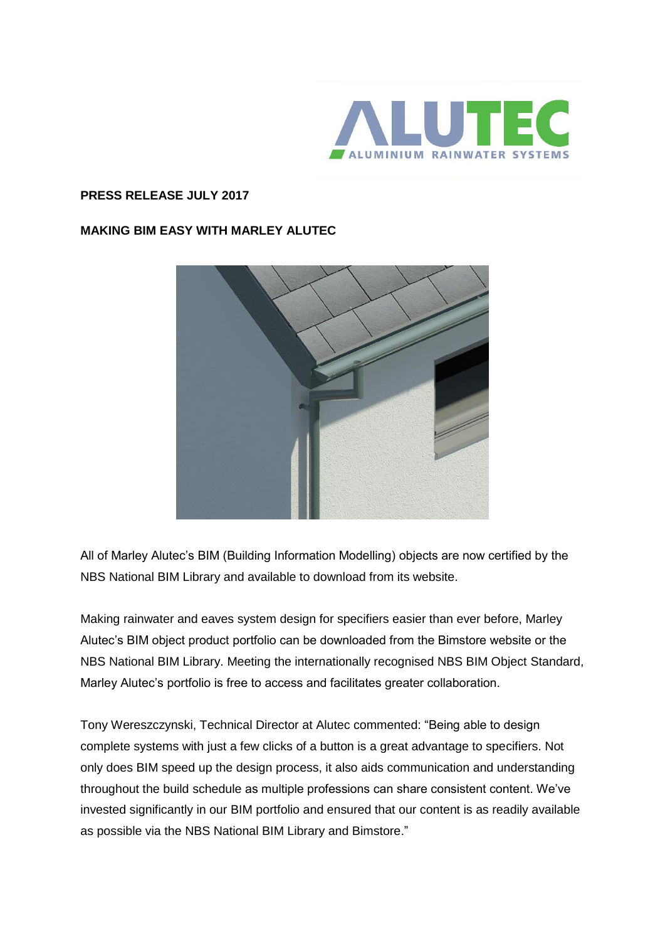

## **PRESS RELEASE JULY 2017**

## **MAKING BIM EASY WITH MARLEY ALUTEC**



All of Marley Alutec's BIM (Building Information Modelling) objects are now certified by the NBS National BIM Library and available to download from its website.

Making rainwater and eaves system design for specifiers easier than ever before, Marley Alutec's BIM object product portfolio can be downloaded from the Bimstore website or the NBS National BIM Library. Meeting the internationally recognised NBS BIM Object Standard, Marley Alutec's portfolio is free to access and facilitates greater collaboration.

Tony Wereszczynski, Technical Director at Alutec commented: "Being able to design complete systems with just a few clicks of a button is a great advantage to specifiers. Not only does BIM speed up the design process, it also aids communication and understanding throughout the build schedule as multiple professions can share consistent content. We've invested significantly in our BIM portfolio and ensured that our content is as readily available as possible via the NBS National BIM Library and Bimstore."